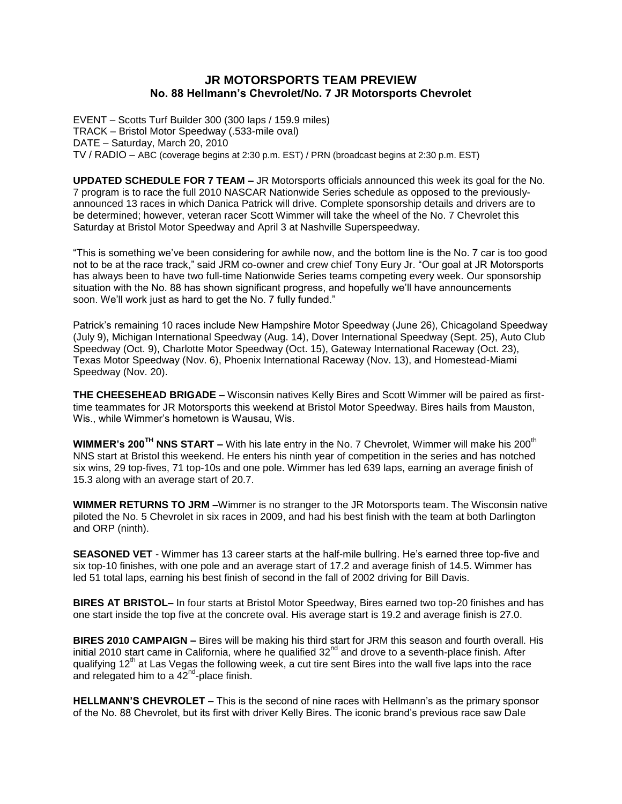# **JR MOTORSPORTS TEAM PREVIEW No. 88 Hellmann's Chevrolet/No. 7 JR Motorsports Chevrolet**

EVENT – Scotts Turf Builder 300 (300 laps / 159.9 miles) TRACK – Bristol Motor Speedway (.533-mile oval) DATE – Saturday, March 20, 2010 TV / RADIO – ABC (coverage begins at 2:30 p.m. EST) / PRN (broadcast begins at 2:30 p.m. EST)

**UPDATED SCHEDULE FOR 7 TEAM –** JR Motorsports officials announced this week its goal for the No. 7 program is to race the full 2010 NASCAR Nationwide Series schedule as opposed to the previouslyannounced 13 races in which Danica Patrick will drive. Complete sponsorship details and drivers are to be determined; however, veteran racer Scott Wimmer will take the wheel of the No. 7 Chevrolet this Saturday at Bristol Motor Speedway and April 3 at Nashville Superspeedway.

"This is something we've been considering for awhile now, and the bottom line is the No. 7 car is too good not to be at the race track," said JRM co-owner and crew chief Tony Eury Jr. "Our goal at JR Motorsports has always been to have two full-time Nationwide Series teams competing every week. Our sponsorship situation with the No. 88 has shown significant progress, and hopefully we'll have announcements soon. We'll work just as hard to get the No. 7 fully funded."

Patrick's remaining 10 races include New Hampshire Motor Speedway (June 26), Chicagoland Speedway (July 9), Michigan International Speedway (Aug. 14), Dover International Speedway (Sept. 25), Auto Club Speedway (Oct. 9), Charlotte Motor Speedway (Oct. 15), Gateway International Raceway (Oct. 23), Texas Motor Speedway (Nov. 6), Phoenix International Raceway (Nov. 13), and Homestead-Miami Speedway (Nov. 20).

**THE CHEESEHEAD BRIGADE –** Wisconsin natives Kelly Bires and Scott Wimmer will be paired as firsttime teammates for JR Motorsports this weekend at Bristol Motor Speedway. Bires hails from Mauston, Wis., while Wimmer's hometown is Wausau, Wis.

**WIMMER's 200TH NNS START –** With his late entry in the No. 7 Chevrolet, Wimmer will make his 200th NNS start at Bristol this weekend. He enters his ninth year of competition in the series and has notched six wins, 29 top-fives, 71 top-10s and one pole. Wimmer has led 639 laps, earning an average finish of 15.3 along with an average start of 20.7.

**WIMMER RETURNS TO JRM –**Wimmer is no stranger to the JR Motorsports team. The Wisconsin native piloted the No. 5 Chevrolet in six races in 2009, and had his best finish with the team at both Darlington and ORP (ninth).

**SEASONED VET** - Wimmer has 13 career starts at the half-mile bullring. He's earned three top-five and six top-10 finishes, with one pole and an average start of 17.2 and average finish of 14.5. Wimmer has led 51 total laps, earning his best finish of second in the fall of 2002 driving for Bill Davis.

**BIRES AT BRISTOL–** In four starts at Bristol Motor Speedway, Bires earned two top-20 finishes and has one start inside the top five at the concrete oval. His average start is 19.2 and average finish is 27.0.

**BIRES 2010 CAMPAIGN –** Bires will be making his third start for JRM this season and fourth overall. His initial 2010 start came in California, where he qualified  $32<sup>nd</sup>$  and drove to a seventh-place finish. After qualifying  $12<sup>th</sup>$  at Las Vegas the following week, a cut tire sent Bires into the wall five laps into the race and relegated him to a  $42^{\text{nd}}$ -place finish.

**HELLMANN'S CHEVROLET –** This is the second of nine races with Hellmann's as the primary sponsor of the No. 88 Chevrolet, but its first with driver Kelly Bires. The iconic brand's previous race saw Dale